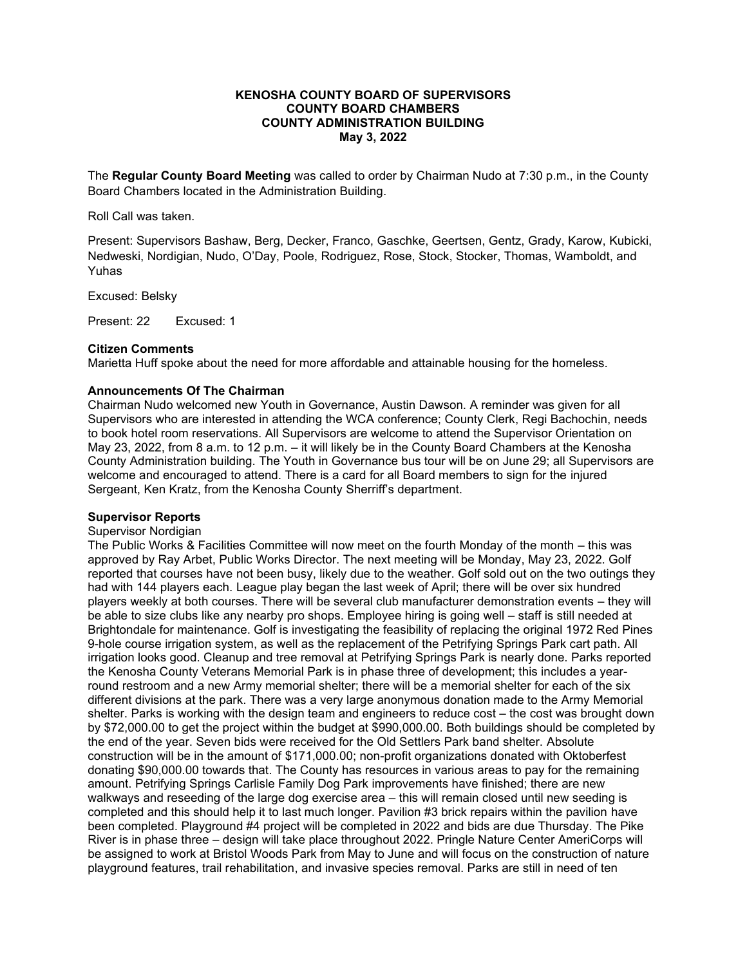## **KENOSHA COUNTY BOARD OF SUPERVISORS COUNTY BOARD CHAMBERS COUNTY ADMINISTRATION BUILDING May 3, 2022**

The **Regular County Board Meeting** was called to order by Chairman Nudo at 7:30 p.m., in the County Board Chambers located in the Administration Building.

Roll Call was taken.

Present: Supervisors Bashaw, Berg, Decker, Franco, Gaschke, Geertsen, Gentz, Grady, Karow, Kubicki, Nedweski, Nordigian, Nudo, O'Day, Poole, Rodriguez, Rose, Stock, Stocker, Thomas, Wamboldt, and Yuhas

Excused: Belsky

Present: 22 Excused: 1

# **Citizen Comments**

Marietta Huff spoke about the need for more affordable and attainable housing for the homeless.

### **Announcements Of The Chairman**

Chairman Nudo welcomed new Youth in Governance, Austin Dawson. A reminder was given for all Supervisors who are interested in attending the WCA conference; County Clerk, Regi Bachochin, needs to book hotel room reservations. All Supervisors are welcome to attend the Supervisor Orientation on May 23, 2022, from 8 a.m. to 12 p.m. – it will likely be in the County Board Chambers at the Kenosha County Administration building. The Youth in Governance bus tour will be on June 29; all Supervisors are welcome and encouraged to attend. There is a card for all Board members to sign for the injured Sergeant, Ken Kratz, from the Kenosha County Sherriff's department.

### **Supervisor Reports**

#### Supervisor Nordigian

The Public Works & Facilities Committee will now meet on the fourth Monday of the month – this was approved by Ray Arbet, Public Works Director. The next meeting will be Monday, May 23, 2022. Golf reported that courses have not been busy, likely due to the weather. Golf sold out on the two outings they had with 144 players each. League play began the last week of April; there will be over six hundred players weekly at both courses. There will be several club manufacturer demonstration events – they will be able to size clubs like any nearby pro shops. Employee hiring is going well – staff is still needed at Brightondale for maintenance. Golf is investigating the feasibility of replacing the original 1972 Red Pines 9-hole course irrigation system, as well as the replacement of the Petrifying Springs Park cart path. All irrigation looks good. Cleanup and tree removal at Petrifying Springs Park is nearly done. Parks reported the Kenosha County Veterans Memorial Park is in phase three of development; this includes a yearround restroom and a new Army memorial shelter; there will be a memorial shelter for each of the six different divisions at the park. There was a very large anonymous donation made to the Army Memorial shelter. Parks is working with the design team and engineers to reduce cost – the cost was brought down by \$72,000.00 to get the project within the budget at \$990,000.00. Both buildings should be completed by the end of the year. Seven bids were received for the Old Settlers Park band shelter. Absolute construction will be in the amount of \$171,000.00; non-profit organizations donated with Oktoberfest donating \$90,000.00 towards that. The County has resources in various areas to pay for the remaining amount. Petrifying Springs Carlisle Family Dog Park improvements have finished; there are new walkways and reseeding of the large dog exercise area – this will remain closed until new seeding is completed and this should help it to last much longer. Pavilion #3 brick repairs within the pavilion have been completed. Playground #4 project will be completed in 2022 and bids are due Thursday. The Pike River is in phase three – design will take place throughout 2022. Pringle Nature Center AmeriCorps will be assigned to work at Bristol Woods Park from May to June and will focus on the construction of nature playground features, trail rehabilitation, and invasive species removal. Parks are still in need of ten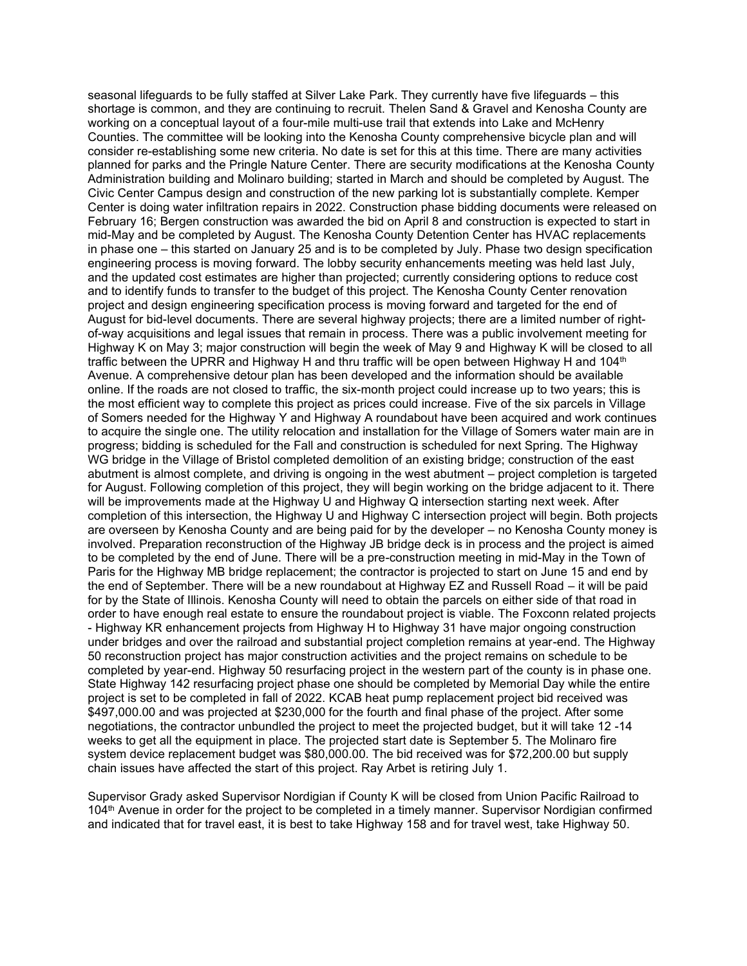seasonal lifeguards to be fully staffed at Silver Lake Park. They currently have five lifeguards – this shortage is common, and they are continuing to recruit. Thelen Sand & Gravel and Kenosha County are working on a conceptual layout of a four-mile multi-use trail that extends into Lake and McHenry Counties. The committee will be looking into the Kenosha County comprehensive bicycle plan and will consider re-establishing some new criteria. No date is set for this at this time. There are many activities planned for parks and the Pringle Nature Center. There are security modifications at the Kenosha County Administration building and Molinaro building; started in March and should be completed by August. The Civic Center Campus design and construction of the new parking lot is substantially complete. Kemper Center is doing water infiltration repairs in 2022. Construction phase bidding documents were released on February 16; Bergen construction was awarded the bid on April 8 and construction is expected to start in mid-May and be completed by August. The Kenosha County Detention Center has HVAC replacements in phase one – this started on January 25 and is to be completed by July. Phase two design specification engineering process is moving forward. The lobby security enhancements meeting was held last July, and the updated cost estimates are higher than projected; currently considering options to reduce cost and to identify funds to transfer to the budget of this project. The Kenosha County Center renovation project and design engineering specification process is moving forward and targeted for the end of August for bid-level documents. There are several highway projects; there are a limited number of rightof-way acquisitions and legal issues that remain in process. There was a public involvement meeting for Highway K on May 3; major construction will begin the week of May 9 and Highway K will be closed to all traffic between the UPRR and Highway H and thru traffic will be open between Highway H and 104<sup>th</sup> Avenue. A comprehensive detour plan has been developed and the information should be available online. If the roads are not closed to traffic, the six-month project could increase up to two years; this is the most efficient way to complete this project as prices could increase. Five of the six parcels in Village of Somers needed for the Highway Y and Highway A roundabout have been acquired and work continues to acquire the single one. The utility relocation and installation for the Village of Somers water main are in progress; bidding is scheduled for the Fall and construction is scheduled for next Spring. The Highway WG bridge in the Village of Bristol completed demolition of an existing bridge; construction of the east abutment is almost complete, and driving is ongoing in the west abutment – project completion is targeted for August. Following completion of this project, they will begin working on the bridge adjacent to it. There will be improvements made at the Highway U and Highway Q intersection starting next week. After completion of this intersection, the Highway U and Highway C intersection project will begin. Both projects are overseen by Kenosha County and are being paid for by the developer – no Kenosha County money is involved. Preparation reconstruction of the Highway JB bridge deck is in process and the project is aimed to be completed by the end of June. There will be a pre-construction meeting in mid-May in the Town of Paris for the Highway MB bridge replacement; the contractor is projected to start on June 15 and end by the end of September. There will be a new roundabout at Highway EZ and Russell Road – it will be paid for by the State of Illinois. Kenosha County will need to obtain the parcels on either side of that road in order to have enough real estate to ensure the roundabout project is viable. The Foxconn related projects - Highway KR enhancement projects from Highway H to Highway 31 have major ongoing construction under bridges and over the railroad and substantial project completion remains at year-end. The Highway 50 reconstruction project has major construction activities and the project remains on schedule to be completed by year-end. Highway 50 resurfacing project in the western part of the county is in phase one. State Highway 142 resurfacing project phase one should be completed by Memorial Day while the entire project is set to be completed in fall of 2022. KCAB heat pump replacement project bid received was \$497,000.00 and was projected at \$230,000 for the fourth and final phase of the project. After some negotiations, the contractor unbundled the project to meet the projected budget, but it will take 12 -14 weeks to get all the equipment in place. The projected start date is September 5. The Molinaro fire system device replacement budget was \$80,000.00. The bid received was for \$72,200.00 but supply chain issues have affected the start of this project. Ray Arbet is retiring July 1.

Supervisor Grady asked Supervisor Nordigian if County K will be closed from Union Pacific Railroad to 104<sup>th</sup> Avenue in order for the project to be completed in a timely manner. Supervisor Nordigian confirmed and indicated that for travel east, it is best to take Highway 158 and for travel west, take Highway 50.